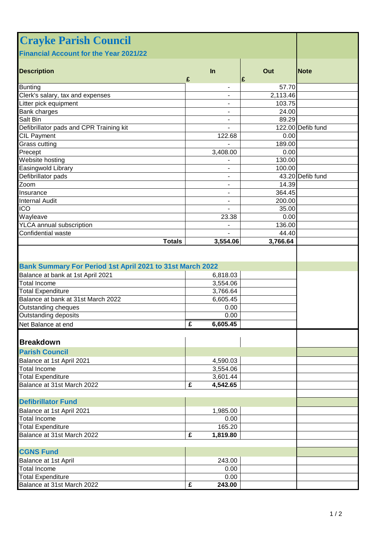| <b>Crayke Parish Council</b>                              |                            |                   |                   |
|-----------------------------------------------------------|----------------------------|-------------------|-------------------|
| <b>Financial Account for the Year 2021/22</b>             |                            |                   |                   |
| <b>Description</b>                                        | $\ln$<br>£                 | Out<br>£          | <b>Note</b>       |
| <b>Bunting</b>                                            |                            | 57.70             |                   |
| Clerk's salary, tax and expenses                          |                            | 2,113.46          |                   |
| Litter pick equipment                                     | -                          | 103.75            |                   |
| Bank charges                                              | ۰                          | 24.00             |                   |
| Salt Bin                                                  | -                          | 89.29             |                   |
| Defibrillator pads and CPR Training kit                   |                            |                   | 122.00 Defib fund |
| <b>CIL Payment</b>                                        | 122.68                     | 0.00              |                   |
| Grass cutting                                             |                            | 189.00            |                   |
| Precept                                                   | 3,408.00                   | 0.00              |                   |
| Website hosting                                           |                            | 130.00            |                   |
| Easingwold Library                                        |                            | 100.00            |                   |
| Defibrillator pads                                        | ۰                          |                   | 43.20 Defib fund  |
| Zoom                                                      | -                          | 14.39             |                   |
| Insurance                                                 | $\overline{\phantom{a}}$   | 364.45            |                   |
| <b>Internal Audit</b>                                     | $\overline{\phantom{a}}$   | 200.00            |                   |
| <b>ICO</b>                                                |                            | 35.00             |                   |
| Wayleave                                                  | 23.38                      | 0.00              |                   |
| <b>YLCA</b> annual subscription<br>Confidential waste     |                            | 136.00            |                   |
| <b>Totals</b>                                             | 3,554.06                   | 44.40<br>3,766.64 |                   |
| Bank Summary For Period 1st April 2021 to 31st March 2022 |                            |                   |                   |
| Balance at bank at 1st April 2021                         |                            |                   |                   |
| <b>Total Income</b>                                       | 6,818.03<br>3,554.06       |                   |                   |
| <b>Total Expenditure</b>                                  | 3,766.64                   |                   |                   |
| Balance at bank at 31st March 2022                        | 6,605.45                   |                   |                   |
| Outstanding cheques                                       | 0.00                       |                   |                   |
| Outstanding deposits                                      | 0.00                       |                   |                   |
| Net Balance at end                                        | $\overline{f}$<br>6,605.45 |                   |                   |
|                                                           |                            |                   |                   |
| <b>Breakdown</b>                                          |                            |                   |                   |
| <b>Parish Council</b>                                     |                            |                   |                   |
| Balance at 1st April 2021                                 | 4,590.03                   |                   |                   |
| <b>Total Income</b>                                       | 3,554.06                   |                   |                   |
| <b>Total Expenditure</b>                                  | 3,601.44                   |                   |                   |
| Balance at 31st March 2022                                | £<br>4,542.65              |                   |                   |
| <b>Defibrillator Fund</b>                                 |                            |                   |                   |
| Balance at 1st April 2021                                 | 1,985.00                   |                   |                   |
| <b>Total Income</b>                                       | 0.00                       |                   |                   |
| <b>Total Expenditure</b>                                  | 165.20                     |                   |                   |
| Balance at 31st March 2022                                | £<br>1,819.80              |                   |                   |
|                                                           |                            |                   |                   |
| <b>CGNS Fund</b>                                          |                            |                   |                   |
| Balance at 1st April                                      | 243.00                     |                   |                   |
| <b>Total Income</b>                                       | 0.00                       |                   |                   |
| <b>Total Expenditure</b>                                  | 0.00                       |                   |                   |
| Balance at 31st March 2022                                | 243.00<br>£                |                   |                   |